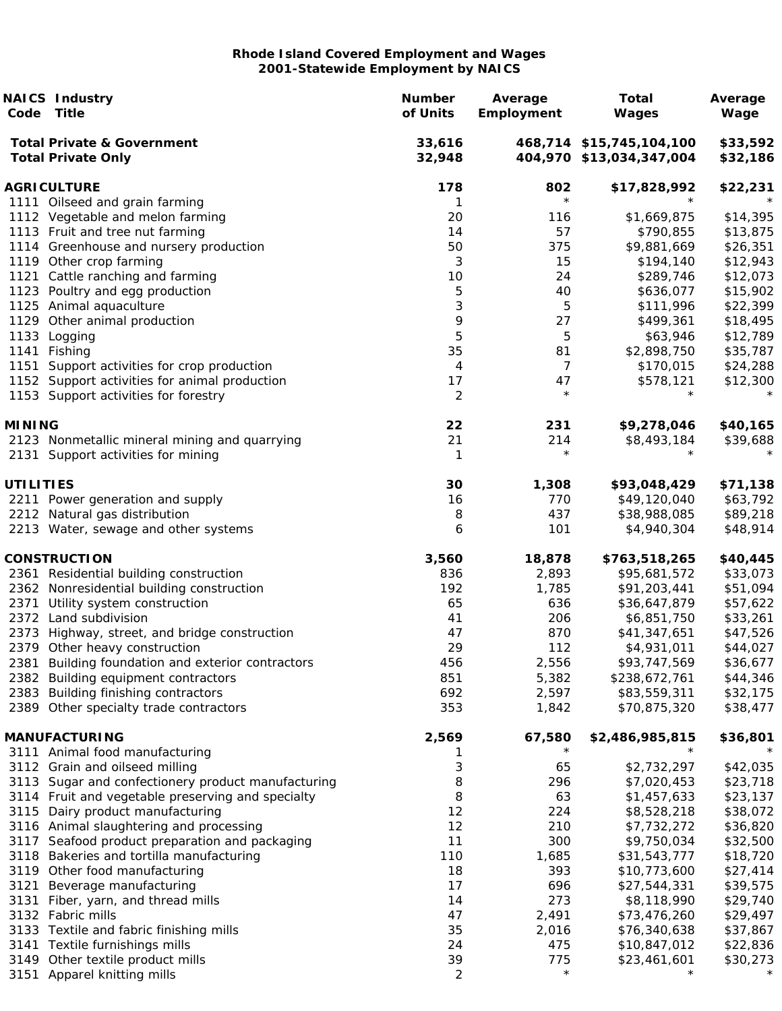|                  | <b>NAICS Industry</b><br>Code Title                                 | <b>Number</b><br>of Units | Average<br>Employment | <b>Total</b><br>Wages                                | Average<br>Wage      |
|------------------|---------------------------------------------------------------------|---------------------------|-----------------------|------------------------------------------------------|----------------------|
|                  | <b>Total Private &amp; Government</b><br><b>Total Private Only</b>  | 33,616<br>32,948          |                       | 468,714 \$15,745,104,100<br>404,970 \$13,034,347,004 | \$33,592<br>\$32,186 |
|                  | <b>AGRICULTURE</b>                                                  | 178                       | 802                   | \$17,828,992                                         | \$22,231             |
|                  | 1111 Oilseed and grain farming                                      | 1                         | $\star$               | $\star$                                              |                      |
|                  | 1112 Vegetable and melon farming                                    | 20                        | 116                   | \$1,669,875                                          | \$14,395             |
|                  | 1113 Fruit and tree nut farming                                     | 14                        | 57                    | \$790,855                                            | \$13,875             |
|                  | 1114 Greenhouse and nursery production                              | 50                        | 375                   | \$9,881,669                                          | \$26,351             |
|                  | 1119 Other crop farming                                             | 3<br>$10$                 | 15<br>24              | \$194,140                                            | \$12,943<br>\$12,073 |
|                  | 1121 Cattle ranching and farming<br>1123 Poultry and egg production | 5                         | 40                    | \$289,746<br>\$636,077                               | \$15,902             |
|                  | 1125 Animal aquaculture                                             | 3                         | 5                     | \$111,996                                            | \$22,399             |
|                  | 1129 Other animal production                                        | 9                         | 27                    | \$499,361                                            | \$18,495             |
|                  | 1133 Logging                                                        | 5                         | 5                     | \$63,946                                             | \$12,789             |
|                  | 1141 Fishing                                                        | 35                        | 81                    | \$2,898,750                                          | \$35,787             |
| 1151             | Support activities for crop production                              | 4                         | $\overline{7}$        | \$170,015                                            | \$24,288             |
|                  | 1152 Support activities for animal production                       | 17                        | 47                    | \$578,121                                            | \$12,300             |
|                  | 1153 Support activities for forestry                                | 2                         | $\star$               | $\star$                                              |                      |
| <b>MINING</b>    |                                                                     | 22                        | 231                   | \$9,278,046                                          | \$40,165             |
|                  | 2123 Nonmetallic mineral mining and quarrying                       | 21                        | 214                   | \$8,493,184                                          | \$39,688             |
|                  | 2131 Support activities for mining                                  | 1                         | $^\star$              |                                                      |                      |
| <b>UTILITIES</b> |                                                                     | 30                        | 1,308                 | \$93,048,429                                         | \$71,138             |
|                  | 2211 Power generation and supply                                    | 16                        | 770                   | \$49,120,040                                         | \$63,792             |
|                  | 2212 Natural gas distribution                                       | 8                         | 437                   | \$38,988,085                                         | \$89,218             |
|                  | 2213 Water, sewage and other systems                                | 6                         | 101                   | \$4,940,304                                          | \$48,914             |
|                  | <b>CONSTRUCTION</b>                                                 | 3,560                     | 18,878                | \$763,518,265                                        | \$40,445             |
|                  | 2361 Residential building construction                              | 836                       | 2,893                 | \$95,681,572                                         | \$33,073             |
|                  | 2362 Nonresidential building construction                           | 192                       | 1,785                 | \$91,203,441                                         | \$51,094             |
|                  | 2371 Utility system construction<br>2372 Land subdivision           | 65<br>41                  | 636<br>206            | \$36,647,879<br>\$6,851,750                          | \$57,622<br>\$33,261 |
|                  | 2373 Highway, street, and bridge construction                       | 47                        | 870                   | \$41,347,651                                         | \$47,526             |
|                  | 2379 Other heavy construction                                       | 29                        | 112                   | \$4,931,011                                          | \$44,027             |
|                  | 2381 Building foundation and exterior contractors                   | 456                       | 2,556                 | \$93,747,569                                         | \$36,677             |
|                  | 2382 Building equipment contractors                                 | 851                       | 5,382                 | \$238,672,761                                        | \$44,346             |
|                  | 2383 Building finishing contractors                                 | 692                       | 2,597                 | \$83,559,311                                         | \$32,175             |
|                  | 2389 Other specialty trade contractors                              | 353                       | 1,842                 | \$70,875,320                                         | \$38,477             |
|                  | <b>MANUFACTURING</b>                                                | 2,569                     | 67,580                | \$2,486,985,815                                      | \$36,801             |
|                  | 3111 Animal food manufacturing                                      |                           | $\star$               |                                                      |                      |
|                  | 3112 Grain and oilseed milling                                      | 3                         | 65                    | \$2,732,297                                          | \$42,035             |
|                  | 3113 Sugar and confectionery product manufacturing                  | 8                         | 296                   | \$7,020,453                                          | \$23,718             |
|                  | 3114 Fruit and vegetable preserving and specialty                   | 8                         | 63                    | \$1,457,633                                          | \$23,137             |
|                  | 3115 Dairy product manufacturing                                    | 12                        | 224                   | \$8,528,218                                          | \$38,072             |
|                  | 3116 Animal slaughtering and processing                             | 12                        | 210                   | \$7,732,272                                          | \$36,820             |
|                  | 3117 Seafood product preparation and packaging                      | 11                        | 300                   | \$9,750,034                                          | \$32,500             |
|                  | 3118 Bakeries and tortilla manufacturing                            | 110                       | 1,685                 | \$31,543,777                                         | \$18,720             |
|                  | 3119 Other food manufacturing                                       | 18                        | 393                   | \$10,773,600                                         | \$27,414             |
|                  | 3121 Beverage manufacturing                                         | 17                        | 696<br>273            | \$27,544,331                                         | \$39,575             |
|                  | 3131 Fiber, yarn, and thread mills<br>3132 Fabric mills             | 14<br>47                  |                       | \$8,118,990<br>\$73,476,260                          | \$29,740             |
|                  | 3133 Textile and fabric finishing mills                             | 35                        | 2,491<br>2,016        | \$76,340,638                                         | \$29,497<br>\$37,867 |
|                  | 3141 Textile furnishings mills                                      | 24                        | 475                   | \$10,847,012                                         | \$22,836             |
|                  | 3149 Other textile product mills                                    | 39                        | 775                   | \$23,461,601                                         | \$30,273             |
|                  | 3151 Apparel knitting mills                                         | 2                         | $\star$               | $\star$                                              | $\star$              |
|                  |                                                                     |                           |                       |                                                      |                      |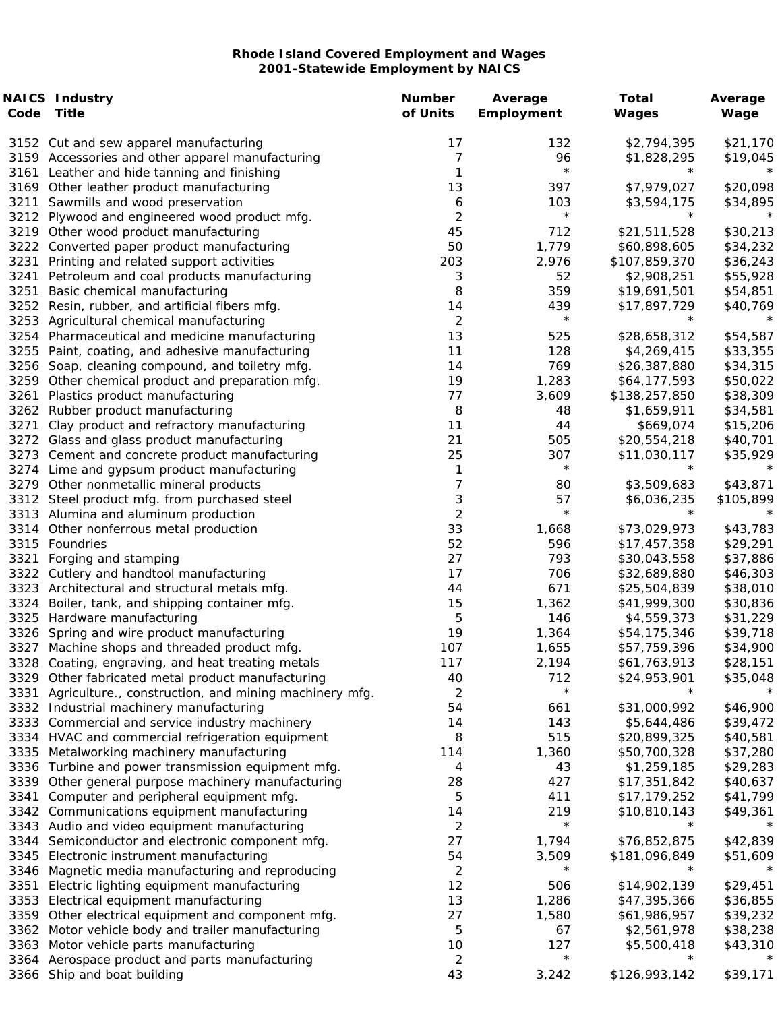| Code | <b>NAICS Industry</b><br>Title                                                          | <b>Number</b><br>of Units    | Average<br>Employment | <b>Total</b><br>Wages   | Average<br>Wage      |
|------|-----------------------------------------------------------------------------------------|------------------------------|-----------------------|-------------------------|----------------------|
|      |                                                                                         |                              |                       |                         |                      |
|      | 3152 Cut and sew apparel manufacturing                                                  | 17                           | 132                   | \$2,794,395             | \$21,170             |
|      | 3159 Accessories and other apparel manufacturing                                        | 7<br>1                       | 96<br>$\star$         | \$1,828,295<br>$^\star$ | \$19,045<br>$^\star$ |
|      | 3161 Leather and hide tanning and finishing<br>3169 Other leather product manufacturing | 13                           | 397                   | \$7,979,027             | \$20,098             |
| 3211 |                                                                                         |                              | 103                   | \$3,594,175             | \$34,895             |
|      | Sawmills and wood preservation<br>3212 Plywood and engineered wood product mfg.         | 6<br>$\overline{\mathbf{c}}$ | $^\star$              | $^\star$                |                      |
|      | 3219 Other wood product manufacturing                                                   | 45                           | 712                   | \$21,511,528            | \$30,213             |
|      | 3222 Converted paper product manufacturing                                              | 50                           | 1,779                 | \$60,898,605            | \$34,232             |
| 3231 | Printing and related support activities                                                 | 203                          | 2,976                 | \$107,859,370           | \$36,243             |
|      | 3241 Petroleum and coal products manufacturing                                          | 3                            | 52                    | \$2,908,251             | \$55,928             |
| 3251 | Basic chemical manufacturing                                                            | 8                            | 359                   | \$19,691,501            | \$54,851             |
|      | 3252 Resin, rubber, and artificial fibers mfg.                                          | 14                           | 439                   | \$17,897,729            | \$40,769             |
|      | 3253 Agricultural chemical manufacturing                                                | $\overline{2}$               | $\star$               | $^\star$                |                      |
|      | 3254 Pharmaceutical and medicine manufacturing                                          | 13                           | 525                   | \$28,658,312            | \$54,587             |
|      | 3255 Paint, coating, and adhesive manufacturing                                         | 11                           | 128                   | \$4,269,415             | \$33,355             |
|      | 3256 Soap, cleaning compound, and toiletry mfg.                                         | 14                           | 769                   | \$26,387,880            | \$34,315             |
|      | 3259 Other chemical product and preparation mfg.                                        | 19                           | 1,283                 | \$64,177,593            | \$50,022             |
| 3261 | Plastics product manufacturing                                                          | 77                           | 3,609                 | \$138,257,850           | \$38,309             |
|      | 3262 Rubber product manufacturing                                                       | 8                            | 48                    | \$1,659,911             | \$34,581             |
| 3271 | Clay product and refractory manufacturing                                               | 11                           | 44                    | \$669,074               | \$15,206             |
|      | 3272 Glass and glass product manufacturing                                              | 21                           | 505                   | \$20,554,218            | \$40,701             |
|      | 3273 Cement and concrete product manufacturing                                          | 25                           | 307                   | \$11,030,117            | \$35,929             |
|      | 3274 Lime and gypsum product manufacturing                                              | 1                            | $\star$               | $^\star$                |                      |
|      | 3279 Other nonmetallic mineral products                                                 | 7                            | 80                    | \$3,509,683             | \$43,871             |
|      | 3312 Steel product mfg. from purchased steel                                            | 3                            | 57                    | \$6,036,235             | \$105,899            |
|      | 3313 Alumina and aluminum production                                                    | $\overline{2}$               | $\star$               | $^\star$                |                      |
|      | 3314 Other nonferrous metal production                                                  | 33                           | 1,668                 | \$73,029,973            | \$43,783             |
|      | 3315 Foundries                                                                          | 52                           | 596                   | \$17,457,358            | \$29,291             |
| 3321 | Forging and stamping                                                                    | 27                           | 793                   | \$30,043,558            | \$37,886             |
|      | 3322 Cutlery and handtool manufacturing                                                 | 17                           | 706                   | \$32,689,880            | \$46,303             |
|      | 3323 Architectural and structural metals mfg.                                           | 44                           | 671                   | \$25,504,839            | \$38,010             |
|      | 3324 Boiler, tank, and shipping container mfg.                                          | 15                           | 1,362                 | \$41,999,300            | \$30,836             |
|      | 3325 Hardware manufacturing                                                             | 5                            | 146                   | \$4,559,373             | \$31,229             |
|      | 3326 Spring and wire product manufacturing                                              | 19                           | 1,364                 | \$54,175,346            | \$39,718             |
|      | 3327 Machine shops and threaded product mfg.                                            | 107                          | 1,655                 | \$57,759,396            | \$34,900             |
|      | 3328 Coating, engraving, and heat treating metals                                       | 117                          | 2,194                 | \$61,763,913            | \$28,151             |
|      | 3329 Other fabricated metal product manufacturing                                       | 40                           | 712                   | \$24,953,901            | \$35,048             |
|      | 3331 Agriculture., construction, and mining machinery mfg.                              | $\overline{2}$               | $\star$               |                         |                      |
|      | 3332 Industrial machinery manufacturing                                                 | 54                           | 661                   | \$31,000,992            | \$46,900             |
|      | 3333 Commercial and service industry machinery                                          | 14                           | 143                   | \$5,644,486             | \$39,472             |
|      | 3334 HVAC and commercial refrigeration equipment                                        | 8                            | 515                   | \$20,899,325            | \$40,581             |
|      | 3335 Metalworking machinery manufacturing                                               | 114                          | 1,360                 | \$50,700,328            | \$37,280             |
|      | 3336 Turbine and power transmission equipment mfg.                                      | 4                            | 43                    | \$1,259,185             | \$29,283             |
|      | 3339 Other general purpose machinery manufacturing                                      | 28                           | 427                   | \$17,351,842            | \$40,637             |
| 3341 | Computer and peripheral equipment mfg.                                                  | 5                            | 411                   | \$17,179,252            | \$41,799             |
|      | 3342 Communications equipment manufacturing                                             | 14                           | 219                   | \$10,810,143            | \$49,361             |
|      | 3343 Audio and video equipment manufacturing                                            | $\overline{c}$               | $\star$               |                         |                      |
|      | 3344 Semiconductor and electronic component mfg.                                        | 27                           | 1,794                 | \$76,852,875            | \$42,839             |
|      | 3345 Electronic instrument manufacturing                                                | 54                           | 3,509                 | \$181,096,849           | \$51,609             |
|      | 3346 Magnetic media manufacturing and reproducing                                       | $\overline{c}$               | $^\star$              | $^\star$                | $^\star$             |
| 3351 | Electric lighting equipment manufacturing                                               | 12                           | 506                   | \$14,902,139            | \$29,451             |
|      | 3353 Electrical equipment manufacturing                                                 | 13                           | 1,286                 | \$47,395,366            | \$36,855             |
|      | 3359 Other electrical equipment and component mfg.                                      | 27                           | 1,580                 | \$61,986,957            | \$39,232             |
|      | 3362 Motor vehicle body and trailer manufacturing                                       | 5                            | 67                    | \$2,561,978             | \$38,238             |
|      | 3363 Motor vehicle parts manufacturing                                                  | 10                           | 127                   | \$5,500,418             | \$43,310             |
|      | 3364 Aerospace product and parts manufacturing                                          | 2                            | $\star$               | $^\star$                |                      |
|      | 3366 Ship and boat building                                                             | 43                           | 3,242                 | \$126,993,142           | \$39,171             |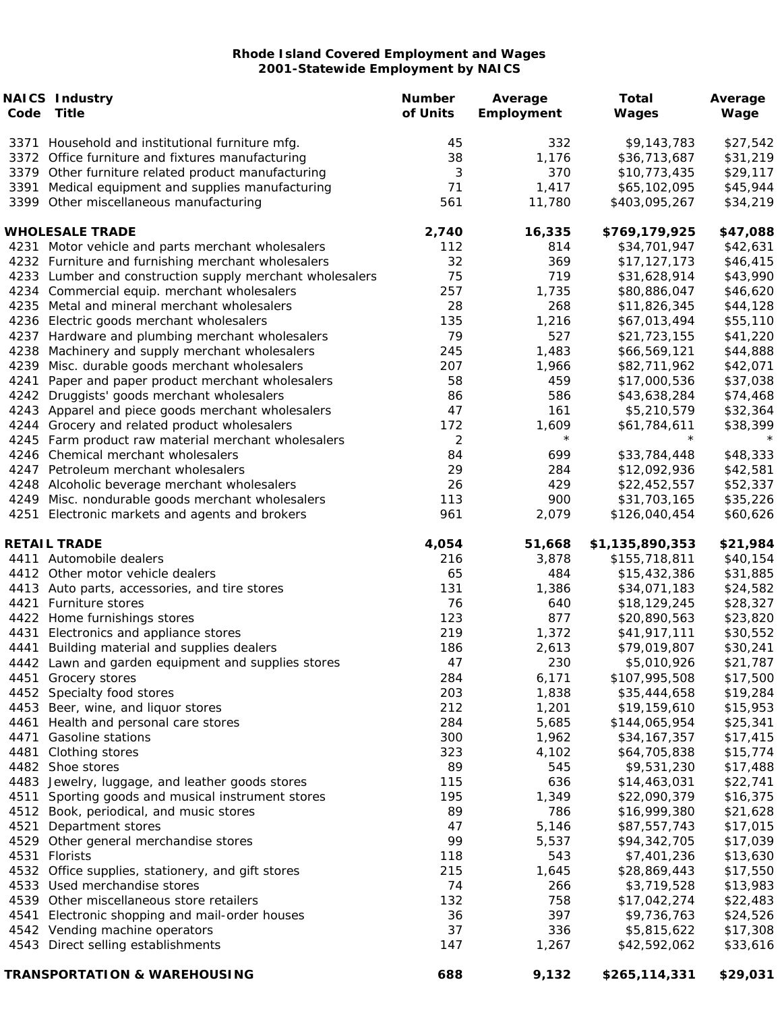|      | <b>NAICS Industry</b><br>Code Title                      | <b>Number</b><br>of Units | Average<br>Employment | <b>Total</b><br>Wages | Average<br>Wage |
|------|----------------------------------------------------------|---------------------------|-----------------------|-----------------------|-----------------|
|      | 3371 Household and institutional furniture mfg.          | 45                        | 332                   | \$9,143,783           | \$27,542        |
|      | 3372 Office furniture and fixtures manufacturing         | 38                        | 1,176                 | \$36,713,687          | \$31,219        |
|      | 3379 Other furniture related product manufacturing       | 3                         | 370                   | \$10,773,435          | \$29,117        |
|      | 3391 Medical equipment and supplies manufacturing        | 71                        | 1,417                 | \$65,102,095          | \$45,944        |
|      | 3399 Other miscellaneous manufacturing                   | 561                       | 11,780                | \$403,095,267         | \$34,219        |
|      | <b>WHOLESALE TRADE</b>                                   | 2,740                     | 16,335                | \$769,179,925         | \$47,088        |
|      | 4231 Motor vehicle and parts merchant wholesalers        | 112                       | 814                   | \$34,701,947          | \$42,631        |
|      | 4232 Furniture and furnishing merchant wholesalers       | 32                        | 369                   | \$17,127,173          | \$46,415        |
|      | 4233 Lumber and construction supply merchant wholesalers | 75                        | 719                   | \$31,628,914          | \$43,990        |
|      | 4234 Commercial equip. merchant wholesalers              | 257                       | 1,735                 | \$80,886,047          | \$46,620        |
|      | 4235 Metal and mineral merchant wholesalers              | 28                        | 268                   | \$11,826,345          | \$44,128        |
|      | 4236 Electric goods merchant wholesalers                 | 135                       | 1,216                 | \$67,013,494          | \$55,110        |
|      | 4237 Hardware and plumbing merchant wholesalers          | 79                        | 527                   | \$21,723,155          | \$41,220        |
|      | 4238 Machinery and supply merchant wholesalers           | 245                       | 1,483                 | \$66,569,121          | \$44,888        |
|      | 4239 Misc. durable goods merchant wholesalers            | 207                       | 1,966                 | \$82,711,962          | \$42,071        |
| 4241 | Paper and paper product merchant wholesalers             | 58                        | 459                   | \$17,000,536          | \$37,038        |
|      | 4242 Druggists' goods merchant wholesalers               | 86                        | 586                   | \$43,638,284          | \$74,468        |
|      | 4243 Apparel and piece goods merchant wholesalers        | 47                        | 161                   | \$5,210,579           | \$32,364        |
|      | 4244 Grocery and related product wholesalers             | 172                       | 1,609                 | \$61,784,611          | \$38,399        |
|      | 4245 Farm product raw material merchant wholesalers      | $\overline{c}$            | $\star$               | $^\star$              |                 |
|      | 4246 Chemical merchant wholesalers                       | 84                        | 699                   | \$33,784,448          | \$48,333        |
|      | 4247 Petroleum merchant wholesalers                      | 29                        | 284                   | \$12,092,936          | \$42,581        |
|      | 4248 Alcoholic beverage merchant wholesalers             | 26                        | 429                   | \$22,452,557          | \$52,337        |
|      | 4249 Misc. nondurable goods merchant wholesalers         | 113                       | 900                   | \$31,703,165          | \$35,226        |
|      | 4251 Electronic markets and agents and brokers           | 961                       | 2,079                 | \$126,040,454         | \$60,626        |
|      | <b>RETAIL TRADE</b>                                      | 4,054                     | 51,668                | \$1,135,890,353       | \$21,984        |
|      | 4411 Automobile dealers                                  | 216                       | 3,878                 | \$155,718,811         | \$40,154        |
|      | 4412 Other motor vehicle dealers                         | 65                        | 484                   | \$15,432,386          | \$31,885        |
|      | 4413 Auto parts, accessories, and tire stores            | 131                       | 1,386                 | \$34,071,183          | \$24,582        |
|      | 4421 Furniture stores                                    | 76                        | 640                   | \$18,129,245          | \$28,327        |
|      | 4422 Home furnishings stores                             | 123                       | 877                   | \$20,890,563          | \$23,820        |
|      | 4431 Electronics and appliance stores                    | 219                       | 1,372                 | \$41,917,111          | \$30,552        |
|      | 4441 Building material and supplies dealers              | 186                       | 2,613                 | \$79,019,807          | \$30,241        |
|      | 4442 Lawn and garden equipment and supplies stores       | 47                        | 230                   | \$5,010,926           | \$21,787        |
|      | 4451 Grocery stores                                      | 284                       | 6,171                 | \$107,995,508         | \$17,500        |
|      | 4452 Specialty food stores                               | 203                       | 1,838                 | \$35,444,658          | \$19,284        |
|      | 4453 Beer, wine, and liquor stores                       | 212                       | 1,201                 | \$19,159,610          | \$15,953        |
|      | 4461 Health and personal care stores                     | 284                       | 5,685                 | \$144,065,954         | \$25,341        |
|      | 4471 Gasoline stations                                   | 300                       | 1,962                 | \$34,167,357          | \$17,415        |
|      | 4481 Clothing stores                                     | 323                       | 4,102                 | \$64,705,838          | \$15,774        |
|      | 4482 Shoe stores                                         | 89                        | 545                   | \$9,531,230           | \$17,488        |
|      | 4483 Jewelry, luggage, and leather goods stores          | 115                       | 636                   | \$14,463,031          | \$22,741        |
| 4511 | Sporting goods and musical instrument stores             | 195                       | 1,349                 | \$22,090,379          | \$16,375        |
|      | 4512 Book, periodical, and music stores                  | 89                        | 786                   | \$16,999,380          | \$21,628        |
|      | 4521 Department stores                                   | 47                        | 5,146                 | \$87,557,743          | \$17,015        |
|      | 4529 Other general merchandise stores                    | 99                        | 5,537                 | \$94,342,705          | \$17,039        |
|      | 4531 Florists                                            | 118                       | 543                   | \$7,401,236           | \$13,630        |
|      | 4532 Office supplies, stationery, and gift stores        | 215                       | 1,645                 | \$28,869,443          | \$17,550        |
|      | 4533 Used merchandise stores                             | 74                        | 266                   | \$3,719,528           | \$13,983        |
|      | 4539 Other miscellaneous store retailers                 | 132                       | 758                   | \$17,042,274          | \$22,483        |
|      | 4541 Electronic shopping and mail-order houses           | 36                        | 397                   | \$9,736,763           | \$24,526        |
|      | 4542 Vending machine operators                           | 37                        | 336                   | \$5,815,622           | \$17,308        |
|      | 4543 Direct selling establishments                       | 147                       | 1,267                 | \$42,592,062          | \$33,616        |
|      | <b>TRANSPORTATION &amp; WAREHOUSING</b>                  | 688                       | 9,132                 | \$265,114,331         | \$29,031        |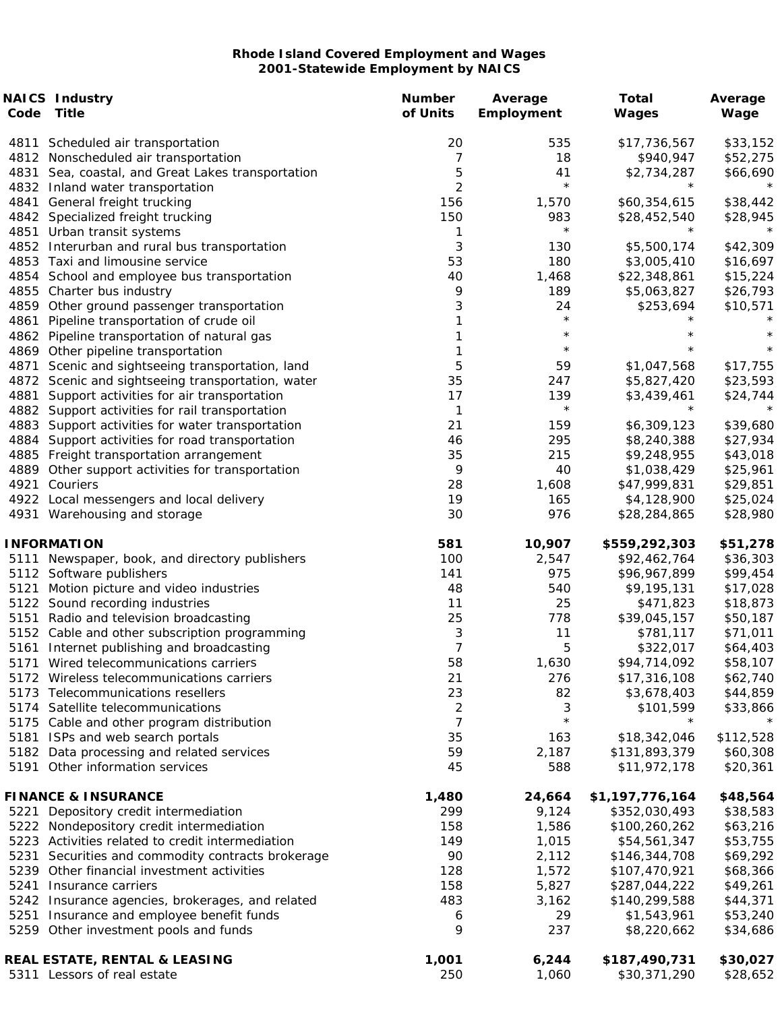|      | <b>NAICS Industry</b><br>Code Title                             | <b>Number</b><br>of Units | Average      | <b>Total</b>          | Average              |
|------|-----------------------------------------------------------------|---------------------------|--------------|-----------------------|----------------------|
|      |                                                                 |                           | Employment   | Wages                 | Wage                 |
| 4811 | Scheduled air transportation                                    | 20                        | 535          | \$17,736,567          | \$33,152             |
|      | 4812 Nonscheduled air transportation                            | 7                         | 18           | \$940,947             | \$52,275             |
|      | 4831 Sea, coastal, and Great Lakes transportation               | 5                         | 41           | \$2,734,287           | \$66,690             |
|      | 4832 Inland water transportation                                | $\overline{2}$            | $\star$      | $^\star$              |                      |
| 4841 | General freight trucking                                        | 156                       | 1,570        | \$60,354,615          | \$38,442             |
|      | 4842 Specialized freight trucking                               | 150                       | 983          | \$28,452,540          | \$28,945             |
|      | 4851 Urban transit systems                                      | 1                         | $\star$      | $^\star$              |                      |
|      | 4852 Interurban and rural bus transportation                    | 3                         | 130          | \$5,500,174           | \$42,309             |
|      | 4853 Taxi and limousine service                                 | 53                        | 180          | \$3,005,410           | \$16,697             |
|      | 4854 School and employee bus transportation                     | 40                        | 1,468        | \$22,348,861          | \$15,224             |
|      | 4855 Charter bus industry                                       | 9                         | 189          | \$5,063,827           | \$26,793             |
|      | 4859 Other ground passenger transportation                      | 3                         | 24           | \$253,694             | \$10,571             |
| 4861 | Pipeline transportation of crude oil                            | 1                         | $\star$      |                       |                      |
|      | 4862 Pipeline transportation of natural gas                     | 1                         | $\star$      |                       | $^\star$             |
|      | 4869 Other pipeline transportation                              | 1                         | $\star$      | $^\star$              | $\star$              |
| 4871 | Scenic and sightseeing transportation, land                     | 5                         | 59           | \$1,047,568           | \$17,755             |
|      | 4872 Scenic and sightseeing transportation, water               | 35                        | 247          | \$5,827,420           | \$23,593             |
| 4881 | Support activities for air transportation                       | 17                        | 139          | \$3,439,461           | \$24,744             |
|      | 4882 Support activities for rail transportation                 | $\mathbf 1$               | $\star$      | $^\star$              |                      |
|      | 4883 Support activities for water transportation                | 21                        | 159          | \$6,309,123           | \$39,680             |
|      | 4884 Support activities for road transportation                 | 46                        | 295          | \$8,240,388           | \$27,934             |
|      | 4885 Freight transportation arrangement                         | 35                        | 215          | \$9,248,955           | \$43,018             |
|      | 4889 Other support activities for transportation                | 9                         | 40           | \$1,038,429           | \$25,961             |
| 4921 | Couriers                                                        | 28                        | 1,608        | \$47,999,831          | \$29,851             |
|      | 4922 Local messengers and local delivery                        | 19                        | 165          | \$4,128,900           | \$25,024             |
|      | 4931 Warehousing and storage                                    | 30                        | 976          | \$28,284,865          | \$28,980             |
|      | <b>INFORMATION</b>                                              | 581                       | 10,907       | \$559,292,303         | \$51,278             |
| 5111 | Newspaper, book, and directory publishers                       | 100                       | 2,547        | \$92,462,764          | \$36,303             |
|      |                                                                 | 141                       | 975          | \$96,967,899          |                      |
| 5121 | 5112 Software publishers<br>Motion picture and video industries | 48                        | 540          | \$9,195,131           | \$99,454             |
|      | 5122 Sound recording industries                                 | 11                        | 25           | \$471,823             | \$17,028             |
|      | 5151 Radio and television broadcasting                          | 25                        | 778          | \$39,045,157          | \$18,873<br>\$50,187 |
|      | 5152 Cable and other subscription programming                   | 3                         | 11           | \$781,117             | \$71,011             |
|      | 5161 Internet publishing and broadcasting                       | $\overline{7}$            | 5            | \$322,017             | \$64,403             |
|      | 5171 Wired telecommunications carriers                          | 58                        | 1,630        |                       | \$58,107             |
|      |                                                                 |                           |              | \$94,714,092          |                      |
|      | 5172 Wireless telecommunications carriers                       | 21                        | 276          | \$17,316,108          | \$62,740             |
|      | 5173 Telecommunications resellers                               | 23                        | 82           | \$3,678,403           | \$44,859             |
|      | 5174 Satellite telecommunications                               | $\overline{c}$            | 3<br>$\star$ | \$101,599<br>$^\star$ | \$33,866             |
|      | 5175 Cable and other program distribution                       | 7                         |              |                       |                      |
|      | 5181 ISPs and web search portals                                | 35                        | 163          | \$18,342,046          | \$112,528            |
|      | 5182 Data processing and related services                       | 59                        | 2,187        | \$131,893,379         | \$60,308             |
|      | 5191 Other information services                                 | 45                        | 588          | \$11,972,178          | \$20,361             |
|      | <b>FINANCE &amp; INSURANCE</b>                                  | 1,480                     | 24,664       | \$1,197,776,164       | \$48,564             |
|      | 5221 Depository credit intermediation                           | 299                       | 9,124        | \$352,030,493         | \$38,583             |
|      | 5222 Nondepository credit intermediation                        | 158                       | 1,586        | \$100,260,262         | \$63,216             |
|      | 5223 Activities related to credit intermediation                | 149                       | 1,015        | \$54,561,347          | \$53,755             |
| 5231 | Securities and commodity contracts brokerage                    | 90                        | 2,112        | \$146,344,708         | \$69,292             |
|      | 5239 Other financial investment activities                      | 128                       | 1,572        | \$107,470,921         | \$68,366             |
| 5241 | Insurance carriers                                              | 158                       | 5,827        | \$287,044,222         | \$49,261             |
|      | 5242 Insurance agencies, brokerages, and related                | 483                       | 3,162        | \$140,299,588         | \$44,371             |
|      | 5251 Insurance and employee benefit funds                       | 6                         | 29           | \$1,543,961           | \$53,240             |
|      | 5259 Other investment pools and funds                           | 9                         | 237          | \$8,220,662           | \$34,686             |
|      | REAL ESTATE, RENTAL & LEASING                                   | 1,001                     | 6,244        | \$187,490,731         | \$30,027             |
|      | 5311 Lessors of real estate                                     | 250                       | 1,060        | \$30,371,290          | \$28,652             |
|      |                                                                 |                           |              |                       |                      |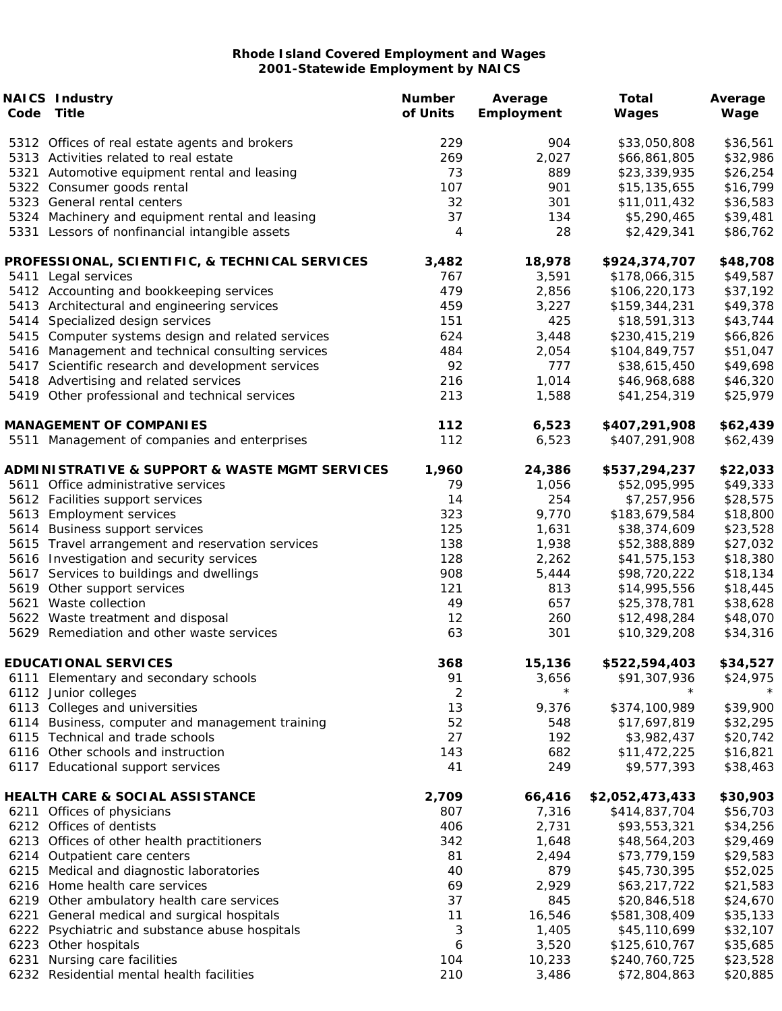|      | <b>NAICS Industry</b>                                                   | <b>Number</b>  | Average    | Total                         | Average              |
|------|-------------------------------------------------------------------------|----------------|------------|-------------------------------|----------------------|
| Code | Title                                                                   | of Units       | Employment | Wages                         | Wage                 |
|      | 5312 Offices of real estate agents and brokers                          | 229            | 904        | \$33,050,808                  | \$36,561             |
|      | 5313 Activities related to real estate                                  | 269            | 2,027      | \$66,861,805                  | \$32,986             |
|      | 5321 Automotive equipment rental and leasing                            | 73             | 889        | \$23,339,935                  | \$26,254             |
|      | 5322 Consumer goods rental                                              | 107            | 901        | \$15,135,655                  | \$16,799             |
|      | 5323 General rental centers                                             | 32             | 301        | \$11,011,432                  | \$36,583             |
|      | 5324 Machinery and equipment rental and leasing                         | 37             | 134        | \$5,290,465                   | \$39,481             |
|      | 5331 Lessors of nonfinancial intangible assets                          | 4              | 28         | \$2,429,341                   | \$86,762             |
|      | PROFESSIONAL, SCIENTIFIC, & TECHNICAL SERVICES                          | 3,482          | 18,978     | \$924,374,707                 | \$48,708             |
|      | 5411 Legal services                                                     | 767            | 3,591      | \$178,066,315                 | \$49,587             |
|      | 5412 Accounting and bookkeeping services                                | 479            | 2,856      | \$106,220,173                 | \$37,192             |
|      | 5413 Architectural and engineering services                             | 459            | 3,227      | \$159,344,231                 | \$49,378             |
|      | 5414 Specialized design services                                        | 151            | 425        | \$18,591,313                  | \$43,744             |
|      | 5415 Computer systems design and related services                       | 624            | 3,448      | \$230,415,219                 | \$66,826             |
|      | 5416 Management and technical consulting services                       | 484            | 2,054      | \$104,849,757                 | \$51,047             |
|      | 5417 Scientific research and development services                       | 92             | 777        | \$38,615,450                  | \$49,698             |
|      | 5418 Advertising and related services                                   | 216            | 1,014      | \$46,968,688                  | \$46,320             |
|      | 5419 Other professional and technical services                          | 213            | 1,588      | \$41,254,319                  | \$25,979             |
|      | <b>MANAGEMENT OF COMPANIES</b>                                          | 112            | 6,523      | \$407,291,908                 | \$62,439             |
|      | 5511 Management of companies and enterprises                            | 112            | 6,523      | \$407,291,908                 | \$62,439             |
|      | <b>ADMINISTRATIVE &amp; SUPPORT &amp; WASTE MGMT SERVICES</b>           | 1,960          | 24,386     | \$537,294,237                 | \$22,033             |
|      | 5611 Office administrative services                                     | 79             | 1,056      | \$52,095,995                  | \$49,333             |
|      | 5612 Facilities support services                                        | 14             | 254        | \$7,257,956                   | \$28,575             |
|      | 5613 Employment services                                                | 323            | 9,770      | \$183,679,584                 | \$18,800             |
|      | 5614 Business support services                                          | 125            | 1,631      | \$38,374,609                  | \$23,528             |
|      | 5615 Travel arrangement and reservation services                        | 138            | 1,938      | \$52,388,889                  | \$27,032             |
|      | 5616 Investigation and security services                                | 128            | 2,262      | \$41,575,153                  | \$18,380             |
|      | 5617 Services to buildings and dwellings                                | 908            | 5,444      | \$98,720,222                  | \$18,134             |
|      | 5619 Other support services                                             | 121            | 813        | \$14,995,556                  | \$18,445             |
|      | 5621 Waste collection                                                   | 49             | 657        | \$25,378,781                  | \$38,628             |
|      | 5622 Waste treatment and disposal                                       | 12             | 260        | \$12,498,284                  | \$48,070             |
|      | 5629 Remediation and other waste services                               | 63             | 301        | \$10,329,208                  | \$34,316             |
|      | <b>EDUCATIONAL SERVICES</b>                                             | 368            | 15,136     | \$522,594,403                 | \$34,527             |
|      |                                                                         | 91             | 3,656      | \$91,307,936                  | \$24,975             |
|      | 6111 Elementary and secondary schools                                   | $\overline{c}$ | $\star$    | $^\star$                      |                      |
|      | 6112 Junior colleges                                                    | 13             |            |                               |                      |
|      | 6113 Colleges and universities                                          | 52             | 9,376      | \$374,100,989<br>\$17,697,819 | \$39,900             |
| 6114 | Business, computer and management training                              | 27             | 548<br>192 |                               | \$32,295<br>\$20,742 |
|      | 6115 Technical and trade schools                                        |                |            | \$3,982,437<br>\$11,472,225   |                      |
|      | 6116 Other schools and instruction<br>6117 Educational support services | 143<br>41      | 682<br>249 | \$9,577,393                   | \$16,821<br>\$38,463 |
|      |                                                                         |                |            |                               |                      |
|      | HEALTH CARE & SOCIAL ASSISTANCE                                         | 2,709          | 66,416     | \$2,052,473,433               | \$30,903             |
|      | 6211 Offices of physicians                                              | 807            | 7,316      | \$414,837,704                 | \$56,703             |
|      | 6212 Offices of dentists                                                | 406            | 2,731      | \$93,553,321                  | \$34,256             |
|      | 6213 Offices of other health practitioners                              | 342            | 1,648      | \$48,564,203                  | \$29,469             |
|      | 6214 Outpatient care centers                                            | 81             | 2,494      | \$73,779,159                  | \$29,583             |
|      | 6215 Medical and diagnostic laboratories                                | 40             | 879        | \$45,730,395                  | \$52,025             |
|      | 6216 Home health care services                                          | 69             | 2,929      | \$63,217,722                  | \$21,583             |
| 6219 | Other ambulatory health care services                                   | 37             | 845        | \$20,846,518                  | \$24,670             |
| 6221 | General medical and surgical hospitals                                  | 11             | 16,546     | \$581,308,409                 | \$35,133             |
|      | 6222 Psychiatric and substance abuse hospitals                          | 3              | 1,405      | \$45,110,699                  | \$32,107             |
|      | 6223 Other hospitals                                                    | 6              | 3,520      | \$125,610,767                 | \$35,685             |
| 6231 | Nursing care facilities                                                 | 104            | 10,233     | \$240,760,725                 | \$23,528             |
|      | 6232 Residential mental health facilities                               | 210            | 3,486      | \$72,804,863                  | \$20,885             |